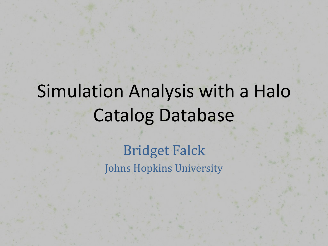# Simulation Analysis with a Halo **Catalog Database**

**Bridget Falck** Johns Hopkins University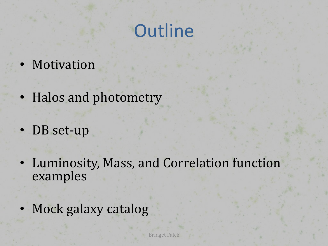# **Outline**

- Motivation
- Halos and photometry
- DB set-up
- Luminosity, Mass, and Correlation function examples
- Mock galaxy catalog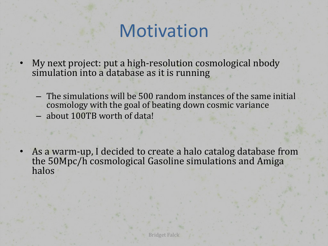# Motivation

- My next project: put a high-resolution cosmological nbody simulation into a database as it is running
	- The simulations will be 500 random instances of the same initial cosmology with the goal of beating down cosmic variance
	- about 100TB worth of data!

As a warm-up, I decided to create a halo catalog database from the 50Mpc/h cosmological Gasoline simulations and Amiga halos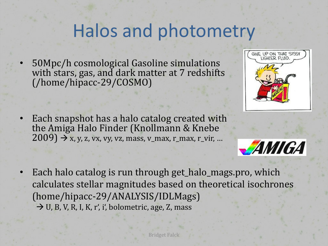## Halos and photometry

50Mpc/h cosmological Gasoline simulations with stars, gas, and dark matter at 7 redshifts (/home/hipacc;29/COSMO)

- Each snapshot has a halo catalog created with the Amiga Halo Finder (Knollmann & Knebe  $2009$ )  $\rightarrow$  x, y, z, vx, vy, vz, mass, v\_max, r\_max, r\_vir, ...
- Each halo catalog is run through get\_halo\_mags.pro, which calculates stellar magnitudes based on theoretical isochrones (home/hipacc;29/ANALYSIS/IDLMags)  $\rightarrow$  U, B, V, R, I, K, r', i', bolometric, age, Z, mass

Bridget Falck



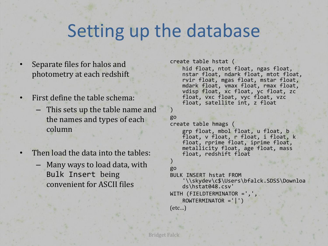### Setting up the database

- Separate files for halos and photometry at each redshift
- First define the table schema:
	- This sets up the table name and the names and types of each column
- Then load the data into the tables:
	- $-$  Many ways to load data, with Bulk Insert being convenient for ASCII files

```
create table hstat (
   hid float, ntot float, ngas float,
   nstar float, ndark float, mtot float,
   rvir float, mgas float, mstar float,
   mdark float, vmax float, rmax float,
   vdisp float, xc float, yc float, zc
   float, vxc float, vyc float, vzc
   float, satellite int, z float
)
```

```
go
```

```
create table hmags (
   grp float, mbol float, u float, b
   float, v float, r float, i float, k
   float, rprime float, iprime float,
   metallicity float, age float, mass
   float, redshift float
```
#### $)$ go

```
BULK INSERT hstat FROM<br>\\skydev\c$\Users\bfalck.SDSS\Downloa
    ds\hstat048.csv'
WITH (FIELDTERMINATOR =',',
    ROWTERMINATOR = ' | ' )[etc...]
```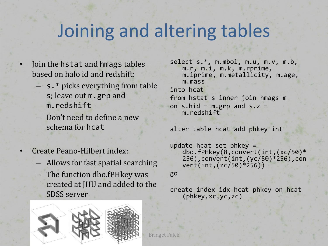## Joining and altering tables

- Join the hstat and hmags tables based on halo id and redshift:
	- $-$  s.\* picks everything from table s; leave out m.grp and m.redshift
	- Don't need to define a new schema for hcat
- Create Peano-Hilbert index:
	- $-$  Allows for fast spatial searching
	- $-$  The function dbo.fPHkey was created at JHU and added to the SDSS server



```
select s.*, m.mbol, m.u, m.v, m.b,
   m.r, m.i, m.k, m.rprime,
   m.iprime, m.metallicity, m.age,
   m.mass
into hcat
from hstat s inner join hmags m
on s.hid = m.grp and s.z =m.redshift
```
alter table hcat add phkey int

```
update hcat set phkey =
   dbo.fPHkey(8,convert(int,(xc/50)*
   256),convert(int,(yc/50)*256),con
   vert(int,(zc/50)*256))
```
go

```
create index idx_hcat_phkey on hcat
   (phkey,xc,yc,zc)
```
Bridget Falck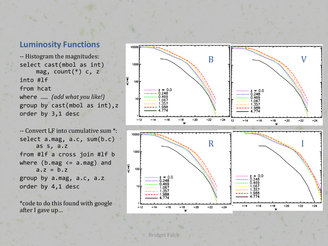#### **Luminosity Functions**

-- Histogram the magnitudes: select cast(mbol as int) mag, count $(*)$  c, z into #1f from hcat where ...... *(add what you like!)* group by  $cast(mbol as int),z$ order by 3,1 desc

-- Convert LF into cumulative sum \*: select  $a.mag$ ,  $a.c$ ,  $sum(b.c)$ as s, a.z from #lf a cross join #lf  $b$ where (b.mag  $\leq$  a.mag) and  $a.7 = h.7$ group by a.mag, a.c, a.z order by  $4,1$  desc

\*code to do this found with google after I gave up...

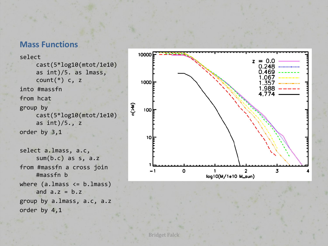#### **Mass Functions**

```
select
     cast(5*log10(mtot/1e10)%
     as int)/5. as lmass,
     count(*) c, z
into #massfn
from hcat
group by
     cast(5*log10(mtot/1e10)%
     as int)/5., z
order by 3,1select a.lmass, a.c,
     sum(b.c) as s, a.z
from #massfn a cross join
    #massfn b
where (a.\text{lmass} < = b.\text{lmass})and a.z = b.zgroup by a.lmass, a.c, a.z
order by 4,1
```
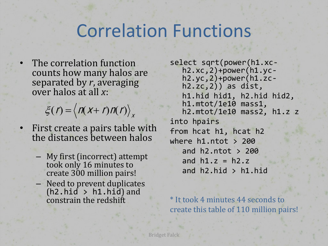### **Correlation Functions**

**Bridget Falck** 

The correlation function counts how many halos are separated by r, averaging over halos at all x:

 $\xi(r) = \langle n(x + r)n(r) \rangle_{x}$ 

First create a pairs table with the distances between halos

 $-$  My first (incorrect) attempt took only 16 minutes to create 300 million pairs! - Need to prevent duplicates  $(h2.hid > h1.hid)$  and constrain the redshift

```
select sqrt(power(h1.xc-<br>h2.xc,2)+power(h1.yc-<br>h2.yc,2)+power(h1.zc-<br>h2.zc,2)) as dist,
   h1.hid hid1, h2.hid hid2,
   h1.mtot/1e10 mass1,
   h2.mtot/1e10 mass2, h1.z z
into hpairs
from hcat h1, hcat h2
where h1.ntot > 200
   and h2.ntot > 200
   and h1. z = h2. zand h2.hid > h1.hid
```
\* It took 4 minutes 44 seconds to create this table of 110 million pairs!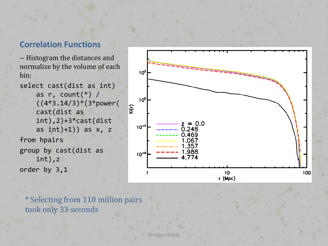#### **Correlation Functions**

-- Histogram the distances and normalize by the volume of each bin:

select cast(dist as int) as  $r$ , count(\*) / ((4\*3.14/3)\*(3\*power( cast(dist as int),2)+3\*cast(dist% as  $int)+1$ )) as  $x, z$ from hpairs group by  $cast(dist as)$ int),z order by  $3,1$ 



\* Selecting from 110 million pairs took only 33 seconds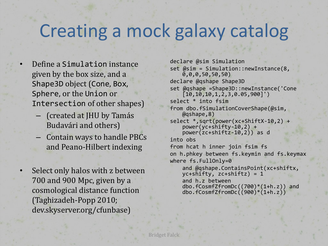### Creating a mock galaxy catalog

- Define a Simulation instance given by the box size, and a Shape3D object (Cone, Box, Sphere, or the Union or Intersection of other shapes)
	- $-$  (created at JHU by Tamás Budavári and others)
	- $-$  Contain ways to handle PBCs and Peano-Hilbert indexing
- Select only halos with z between  $700$  and  $900$  Mpc, given by a cosmological distance function (Taghizadeh-Popp 2010; dev.skyserver.org/cfunbase)

```
declare @sim Simulation
set @sim = Simulation::newInstance(8,
    (0,0,0,50,50,50)declare @qshape Shape3D
set @qshape =Shape3D::newInstance('Cone
    [10,10,10,1,2,3,0.05,900]')
select * into fsim
from dbo.fSimulationCoverShape(@sim,<br>@qshape,8)
select *,sqrt(power(xc+ShiftX-10,2) +
    power(yc+shifty-10,2) +
    power(zc+shiftz-10,2)) as d
into obs
from hcat h inner join fsim fs
on h.phkey between fs.keymin and fs.keymax
where fs.FullOnly=0and @qshape.ContainsPoint(xc+shiftx, yc+shifty, zc+shiftz) = 1
    and h.z between
    dbo.fCosmfZfromDc((700)*(1+h.z)) and
    dbo.fCosmfZfromDc(900)^*(1+h,z)
```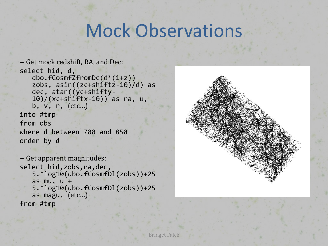### Mock Observations

Bridget Falck

```
-- Get mock redshift, RA, and Dec:
select hid, d,
   dbo.fCosmfZfromDc(d*(1+z))%
   zobs, asin((zc+shiftz-10)/d) as dec, atan((yc+shifty-10)/(xc+shifftx-10) as ra, u,
   b, v, r, (\text{etc...})into%#tmp
from obs
where d between 700 and 850
order by d
```

```
-- Get apparent magnitudes:
select hid,zobs,ra,dec,
   5.*log10(dbo.fCosmfDl(zobs))+25%
   as mu, u +5.*log10(dbo.fCosmfDl(zobs))+25%
   as magu, (etc...)
from%#tmp
```
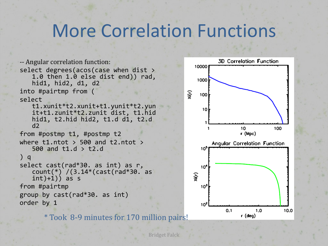### **More Correlation Functions**

```
-- Angular correlation function:
select degrees(acos(case when dist >1.0 then 1.\dot{\theta} else dist end)) rad,
   hid1, hid2, d1, d2
into #pairtmp from (
                                                  \widetilde{\mathfrak{c}}select%
   t1.xunit*t2.xunit+t1.yunit*t2.yun
   it+t1.zunit*t2.zunit dist, t1.hid
   hid1, t2.hid hid2, t1.d d1, t2.d
   d<sub>2</sub>from #postmp t1, #postmp t2
where t1.ntot > 500 and t2.ntot >
   500 and t1.d > t2.d) qselect cast(rad*30. as int) as r,
   count(*) /(3.14*(cast(rad*30. as
   int(+1)) as s
from #pairtmp
group by cast(rad*30. as int)order by 1
```